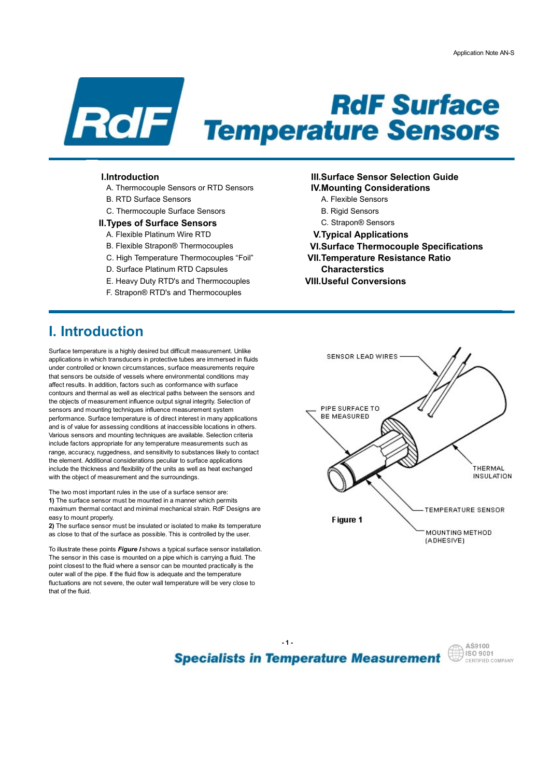

# **PROF Surface**<br> **Reflection Note ANS**<br>
I.Introduction<br>
I.I.Thermocouple Sensors of RTD Sensors<br>
B. RTD Surface Sensors<br>
C. Thermocouple Surface Sensors<br>
C. Thermocouple Surface Sensors<br>
A. Flexible Platinum Wire RTD<br>
A. Fl **PROF Surface**<br> **Remperature Sensors**<br>
Introduction<br>
A PROPERIUTE Sensors<br>
A Remocuple Sensors or RTD Sensors<br>
B. RTD Surface Sensors<br>
B. RTD Surface Sensors<br>
C. Thermocouple Surface Sensors<br>
A Flexible Sensors<br>
A Flexible **FROF Surface**<br> **FERNALL SURFACE**<br>
Introduction<br>
A Thermocouple Sensors of RTD Sensors<br>
C. Thermocouple Surface Sensors<br>
C. Thermocouple Surface Sensors<br>
Types of Surface Sensors<br>
Types of Surface Sensors<br>
A Fiexible Plati

- A. Thermocouple Sensors or RTD Sensors **IV.Mounting Considerations**
- 
- 

### **II. Types of Surface Sensors** C. Strapon<sup>®</sup> Sensors

- A. Flexible Platinum Wire RTD **V.Typical Applications**
- B. Flexible Strapon® Thermocouples VI.Surface Thermocouple Specifications
- 
- D. Surface Platinum RTD Capsules Characterstics
- E. Heavy Duty RTD's and Thermocouples **VIII.Useful Conversions**
- F. Strapon® RTD's and Thermocouples

- 
- 
- 
- 
- 
- C. High Temperature Thermocouples "Foil" VII.Temperature Resistance Ratio
	-
	-

# I. Introduction

Surface temperature is a highly desired but difficult measurement. Unlike<br>
surface in which terms due as in a set of in this case in measured in finite applications in which transducers in protective tubes are immersed in fluids under controlled or known circumstances, surface measurements require that sensors be outside of vessels where environmental conditions may affect results. In addition, factors such as conformance with surface contours and thermal as well as electrical paths between the sensors and the objects of measurement influence output signal integrity. Selection of<br>
concern and mounting toobniques influence measurement outcom sensors and mounting techniques influence measurement system<br> **EXECUTE:**<br> **EXECUTE:**<br> **EXECUTE:**<br> **EXECUTE:** performance. Surface temperature is of direct interest in many applications and is of value for assessing conditions at inaccessible locations in others. Various sensors and mounting techniques are available. Selection criteria include factors appropriate for any temperature measurements such as range, accuracy, ruggedness, and sensitivity to substances likely to contact the element. Additional considerations peculiar to surface applications include the thickness and flexibility of the units as well as heat exchanged with the object of measurement and the surroundings

The two most important rules in the use of a surface sensor are: 1) The surface sensor must be mounted in a manner which permits easy to mount properly.

as close to that of the surface as possible. This is controlled by the user.

To illustrate these points Figure I shows a typical surface sensor installation. The sensor in this case is mounted on a pipe which is carrying a fluid. The point closest to the fluid where a sensor can be mounted practically is the outer wall of the pipe. If the fluid flow is adequate and the temperature fluctuations are not severe, the outer wall temperature will be very close to that of the fluid.



**Specialists in Temperature Measurement** 

 $-1$  -

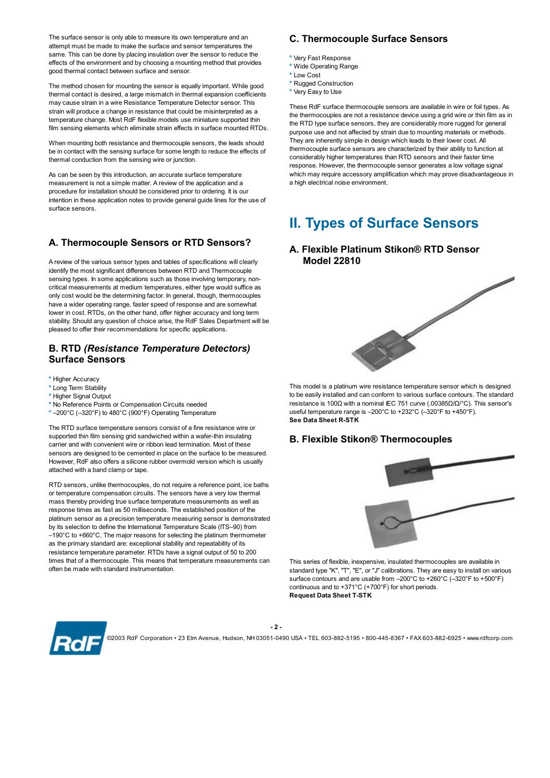The surface sensor is only able to measure its own temperature and an attempt must be made to make the surface and sensor temperatures the same. This can be done by placing insulation over the sensor to reduce the effects of the environment and by choosing a mounting method that provides good thermal contact between surface and sensor.

The method chosen for mounting the sensor is equally important. While good thermal contact is desired, a large mismatch in thermal expansion coefficients may cause strain in a wire Resistance Temperature Detector sensor. This strain will produce a change in resistance that could be misinterpreted as a temperature change. Most RdF flexible models use miniature supported thin film sensing elements which eliminate strain effects in surface mounted RTDs.

When mounting both resistance and thermocouple sensors, the leads should be in contact with the sensing surface for some length to reduce the effects of thermal conduction from the sensing wire or junction.

As can be seen by this introduction, an accurate surface temperature measurement is not a simple matter. A review of the application and a procedure for installation should be considered prior to ordering. It is our intention in these application notes to provide general guide lines for the use of surface sensors.

## A. Thermocouple Sensors or RTD Sensors?

A review of the various sensor types and tables of specifications will clearly identify the most significant differences between RTD and Thermocouple sensing types. In some applications such as those involving temporary, noncritical measurements at medium temperatures, either type would suffice as<br>only cost would be the determining factor. In general, though, thermocouples<br>have a wider operating range, faster speed of response and are somewha only cost would be the determining factor. In general, though, thermocouples have a wider operating range, faster speed of response and are somewhat lower in cost. RTDs, on the other hand, offer higher accuracy and long term stability. Should any question of choice arise, the RdF Sales Department will be pleased to offer their recommendations for specific applications.

### B. RTD (Resistance Temperature Detectors) Surface Sensors

- ° Higher Accuracy
- ° Long Term Stability
- ° Higher Signal Output
- ° No Reference Points or Compensation Circuits needed
- ° –200°C (–320°F) to 480°C (900°F) Operating Temperature

The RTD surface temperature sensors consist of a fine resistance wire or supported thin film sensing grid sandwiched within a wafer-thin insulating carrier and with convenient wire or ribbon lead termination. Most of these sensors are designed to be cemented in place on the surface to be measured. However, RdF also offers a silicone rubber overmold version which is usually attached with a band clamp or tape.

RTD sensors, unlike thermocouples, do not require a reference point, ice baths or temperature compensation circuits. The sensors have a very low thermal mass thereby providing true surface temperature measurements as well as response times as fast as 50 milliseconds. The established position of the platinum sensor as a precision temperature measuring sensor is demonstrated by its selection to define the International Temperature Scale (ITS–90) from –190°C to +660°C. The major reasons for selecting the platinum thermometer as the primary standard are: exceptional stability and repeatability of its resistance temperature parameter. RTDs have a signal output of 50 to 200 times that of a thermocouple. This means that temperature measurements can often be made with standard instrumentation.

### C. Thermocouple Surface Sensors

- ° Very Fast Response
- ° Wide Operating Range
- ° Low Cost
- ° Rugged Construction
- ° Very Easy to Use

These RdF surface thermocouple sensors are available in wire or foil types. As the thermocouples are not a resistance device using a grid wire or thin film as in the RTD type surface sensors, they are considerably more rugged for general purpose use and not affected by strain due to mounting materials or methods. They are inherently simple in design which leads to their lower cost. All thermocouple surface sensors are characterized by their ability to function at considerably higher temperatures than RTD sensors and their faster time response. However, the thermocouple sensor generates a low voltage signal which may require accessory amplification which may prove disadvantageous in a high electrical noise environment.

# II. Types of Surface Sensors

### A. Flexible Platinum Stikon® RTD Sensor Model 22810



This model is a platinum wire resistance temperature sensor which is designed to be easily installed and can conform to various surface contours. The standard resistance is 100Ω with a nominal IEC 751 curve (.00385Ω/Ω/°C). This sensor's useful temperature range is –200°C to +232°C (–320°F to +450°F). See Data Sheet R-STK

### B. Flexible Stikon® Thermocouples



This series of flexible, inexpensive, insulated thermocouples are available in standard type "K", "T", "E", or "J" calibrations. They are easy to install on various surface contours and are usable from –200°C to +260°C (–320°F to +500°F) continuous and to +371°C (+700°F) for short periods. Request Data Sheet T-STK



 - 2 - ©2003 RdF Corporation • 23 Elm Avenue, Hudson, NH 03051-0490 USA • TEL 603-882-5195 • 800-445-8367 • FAX 603-882-6925 • www.rdfcorp.com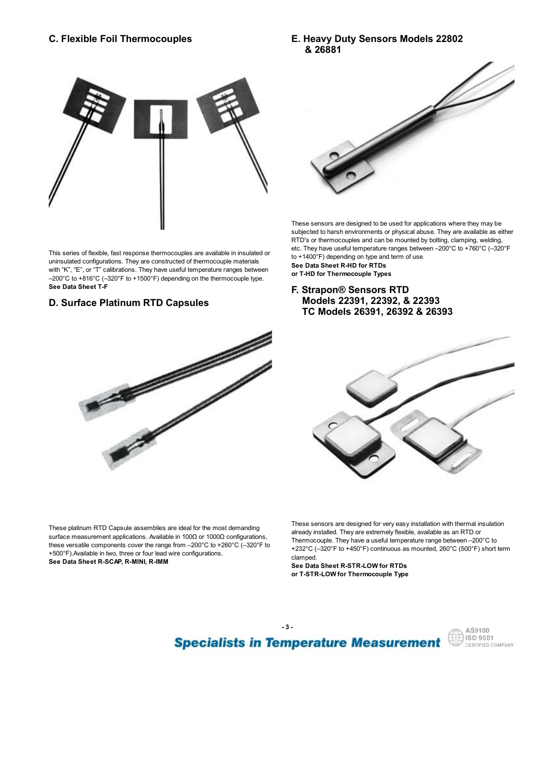### C. Flexible Foil Thermocouples

### E. Heavy Duty Sensors Models 22802 & 26881



This series of flexible, fast response thermocouples are available in insulated or uninsulated configurations. They are constructed of thermocouple materials with "K", "E", or "T" calibrations. They have useful temperature ranges between –200°C to +816°C (–320°F to +1500°F) depending on the thermocouple type. See Data Sheet T-F

# D. Surface Platinum RTD Capsules



These platinum RTD Capsule assemblies are ideal for the most demanding surface measurement applications. Available in 100Ω or 1000Ω configurations, these versatile components cover the range from –200°C to +260°C (–320°F to +500°F).Available in two, three or four lead wire configurations. See Data Sheet R-SCAP, R-MINI, R-IMM



These sensors are designed to be used for applications where they may be subjected to harsh environments or physical abuse. They are available as either RTD's or thermocouples and can be mounted by bolting, clamping, welding, etc. They have useful temperature ranges between –200°C to +760°C (–320°F to +1400°F) depending on type and term of use. See Data Sheet R-HD for RTDs

or T-HD for Thermocouple Types

### F. Strapon® Sensors RTD Models 22391, 22392, & 22393 TC Models 26391, 26392 & 26393



These sensors are designed for very easy installation with thermal insulation already installed. They are extremely flexible, available as an RTD or Thermocouple. They have a useful temperature range between –200°C to +232°C (–320°F to +450°F) continuous as mounted, 260°C (500°F) short term clamped.

See Data Sheet R-STR-LOW for RTDs or T-STR-LOW for Thermocouple Type

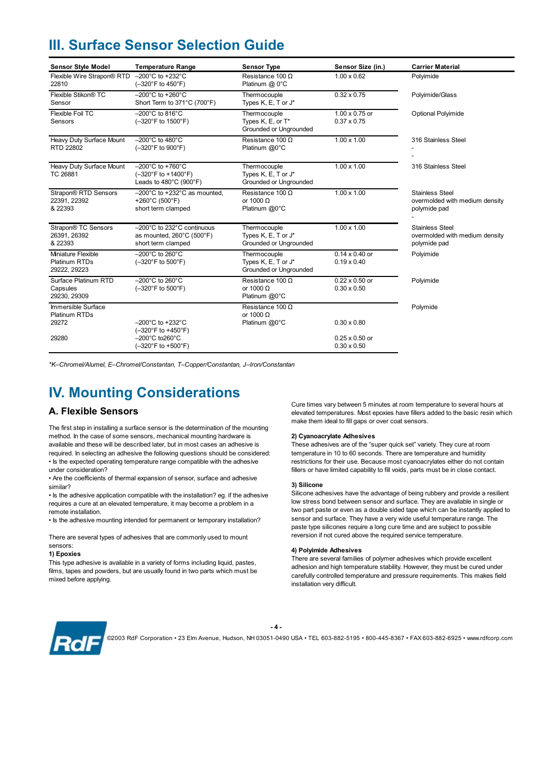# III. Surface Sensor Selection Guide

|                                                     |                                                                                                                              | III. Surface Sensor Selection Guide                           |                                             |                                                                          |
|-----------------------------------------------------|------------------------------------------------------------------------------------------------------------------------------|---------------------------------------------------------------|---------------------------------------------|--------------------------------------------------------------------------|
| <b>Sensor Style Model</b>                           | <b>Temperature Range</b>                                                                                                     | <b>Sensor Type</b>                                            | Sensor Size (in.)                           | <b>Carrier Material</b>                                                  |
| Flexible Wire Strapon® RTD<br>22810                 | $-200^{\circ}$ C to +232 $^{\circ}$ C<br>$(-320^{\circ}F to 450^{\circ}F)$                                                   | Resistance 100 $\Omega$<br>Platinum @ 0°C                     | $1.00 \times 0.62$                          | Polyimide                                                                |
| Flexible Stikon <sup>®</sup> TC<br>Sensor           | $-200^{\circ}$ C to +260 $^{\circ}$ C<br>Short Term to 371°C (700°F)                                                         | Thermocouple<br>Types K, E, T or J*                           | $0.32 \times 0.75$                          | Polyimide/Glass                                                          |
| Flexible Foil TC<br>Sensors                         | $-200^{\circ}$ C to 816 $^{\circ}$ C<br>$(-320^{\circ}F \text{ to } 1500^{\circ}F)$                                          | Thermocouple<br>Types K, E, or T*<br>Grounded or Ungrounded   | 1.00 x 0.75 or<br>$0.37 \times 0.75$        | Optional Polyimide                                                       |
| Heavy Duty Surface Mount<br>RTD 22802               | $-200^{\circ}$ C to 480 $^{\circ}$ C<br>$(-320^{\circ}F to 900^{\circ}F)$                                                    | Resistance 100 $\Omega$<br>Platinum @0°C                      | $1.00 \times 1.00$                          | 316 Stainless Steel                                                      |
| Heavy Duty Surface Mount<br>TC 26881                | $-200^{\circ}$ C to +760 $^{\circ}$ C<br>$(-320^{\circ}F to + 1400^{\circ}F)$<br>Leads to $480^{\circ}$ C (900 $^{\circ}$ F) | Thermocouple<br>Types K, E, T or J*<br>Grounded or Ungrounded | $1.00 \times 1.00$                          | 316 Stainless Steel                                                      |
| Strapon® RTD Sensors<br>22391, 22392<br>& 22393     | $-200^{\circ}$ C to +232 $^{\circ}$ C as mounted,<br>+260°C (500°F)<br>short term clamped                                    | Resistance 100 $\Omega$<br>or 1000 $\Omega$<br>Platinum @0°C  | $1.00 \times 1.00$                          | <b>Stainless Steel</b><br>overmolded with medium density<br>polymide pad |
| Strapon® TC Sensors<br>26391, 26392<br>& 22393      | -200°C to 232°C continuous<br>as mounted, $260^{\circ}$ C (500 $^{\circ}$ F)<br>short term clamped                           | Thermocouple<br>Types K, E, T or J*<br>Grounded or Ungrounded | $1.00 \times 1.00$                          | <b>Stainless Steel</b><br>overmolded with medium density<br>polymide pad |
| Miniature Flexible<br>Platinum RTDs<br>29222, 29223 | $-200^{\circ}$ C to 260 $^{\circ}$ C<br>(-320°F to 500°F)                                                                    | Thermocouple<br>Types K, E, T or J*<br>Grounded or Ungrounded | $0.14 \times 0.40$ or<br>$0.19 \times 0.40$ | Polyimide                                                                |
| Surface Platinum RTD<br>Capsules<br>29230, 29309    | $-200^{\circ}$ C to 260 $^{\circ}$ C<br>$(-320^{\circ}F \text{ to } 500^{\circ}F)$                                           | Resistance 100 $\Omega$<br>or 1000 $\Omega$<br>Platinum @0°C  | 0.22 x 0.50 or<br>$0.30 \times 0.50$        | Polyimide                                                                |
|                                                     |                                                                                                                              | Resistance 100 $\Omega$                                       |                                             | Polymide                                                                 |
| Immersible Surface<br>Platinum RTDs<br>29272        | $-200^{\circ}$ C to +232 $^{\circ}$ C<br>(-320°F to +450°F)                                                                  | or 1000 $\Omega$<br>Platinum @0°C                             | $0.30 \times 0.80$                          |                                                                          |

# IV. Mounting Considerations

### A. Flexible Sensors

The first step in installing a surface sensor is the determination of the mounting method. In the case of some sensors, mechanical mounting hardware is available and these will be described later, but in most cases an adhesive is required. In selecting an adhesive the following questions should be considered: • Is the expected operating temperature range compatible with the adhesive under consideration?

• Are the coefficients of thermal expansion of sensor, surface and adhesive similar?

• Is the adhesive application compatible with the installation? eg. if the adhesive requires a cure at an elevated temperature, it may become a problem in a remote installation.

• Is the adhesive mounting intended for permanent or temporary installation?

There are several types of adhesives that are commonly used to mount sensors:

### 1) Epoxies

This type adhesive is available in a variety of forms including liquid, pastes, films, tapes and powders, but are usually found in two parts which must be mixed before applying.

Cure times vary between 5 minutes at room temperature to several hours at elevated temperatures. Most epoxies have fillers added to the basic resin which make them ideal to fill gaps or over coat sensors.

### 2) Cyanoacrylate Adhesives

These adhesives are of the "super quick set" variety. They cure at room temperature in 10 to 60 seconds. There are temperature and humidity restrictions for their use. Because most cyanoacrylates either do not contain fillers or have limited capability to fill voids, parts must be in close contact.

### 3) Silicone

Silicone adhesives have the advantage of being rubbery and provide a resilient low stress bond between sensor and surface. They are available in single or two part paste or even as a double sided tape which can be instantly applied to sensor and surface. They have a very wide useful temperature range. The paste type silicones require a long cure time and are subject to possible reversion if not cured above the required service temperature.

### 4) Polyimide Adhesives

There are several families of polymer adhesives which provide excellent adhesion and high temperature stability. However, they must be cured under carefully controlled temperature and pressure requirements. This makes field installation very difficult.



 - 4 - ©2003 RdF Corporation • 23 Elm Avenue, Hudson, NH 03051-0490 USA • TEL 603-882-5195 • 800-445-8367 • FAX 603-882-6925 • www.rdfcorp.com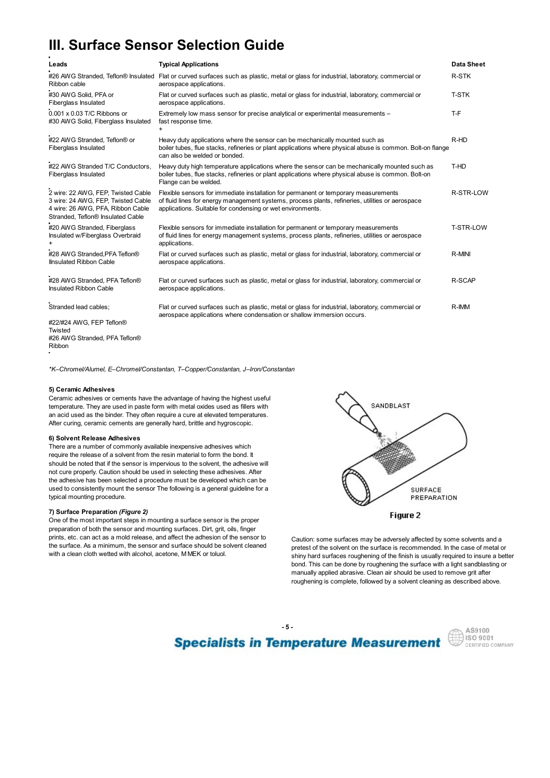# III. Surface Sensor Selection Guide

|                                                                                                                                                    | III. Surface Sensor Selection Guide                                                                                                                                                                                                                   |                   |
|----------------------------------------------------------------------------------------------------------------------------------------------------|-------------------------------------------------------------------------------------------------------------------------------------------------------------------------------------------------------------------------------------------------------|-------------------|
|                                                                                                                                                    |                                                                                                                                                                                                                                                       |                   |
| Leads                                                                                                                                              | <b>Typical Applications</b>                                                                                                                                                                                                                           | <b>Data Sheet</b> |
| Ribbon cable                                                                                                                                       | #26 AWG Stranded, Teflon® Insulated Flat or curved surfaces such as plastic, metal or glass for industrial, laboratory, commercial or<br>aerospace applications.                                                                                      | R-STK             |
| #30 AWG Solid, PFA or<br>Fiberglass Insulated                                                                                                      | Flat or curved surfaces such as plastic, metal or glass for industrial, laboratory, commercial or<br>aerospace applications.                                                                                                                          | <b>T-STK</b>      |
| 0.001 x 0.03 T/C Ribbons or<br>#30 AWG Solid, Fiberglass Insulated                                                                                 | Extremely low mass sensor for precise analytical or experimental measurements -<br>fast response time.<br>$+$                                                                                                                                         | T-F               |
| #22 AWG Stranded, Teflon® or<br>Fiberglass Insulated                                                                                               | Heavy duty applications where the sensor can be mechanically mounted such as<br>boiler tubes, flue stacks, refineries or plant applications where physical abuse is common. Bolt-on flange<br>can also be welded or bonded.                           | R-HD              |
| #22 AWG Stranded T/C Conductors,<br>Fiberglass Insulated                                                                                           | Heavy duty high temperature applications where the sensor can be mechanically mounted such as<br>boiler tubes, flue stacks, refineries or plant applications where physical abuse is common. Bolt-on<br>Flange can be welded.                         | T-HD              |
| 2 wire: 22 AWG. FEP. Twisted Cable<br>3 wire: 24 AWG, FEP, Twisted Cable<br>4 wire: 26 AWG, PFA, Ribbon Cable<br>Stranded, Teflon® Insulated Cable | Flexible sensors for immediate installation for permanent or temporary measurements<br>of fluid lines for energy management systems, process plants, refineries, utilities or aerospace<br>applications. Suitable for condensing or wet environments. | R-STR-LOW         |
| #20 AWG Stranded, Fiberglass<br>Insulated w/Fiberglass Overbraid<br>$\ddot{}$                                                                      | Flexible sensors for immediate installation for permanent or temporary measurements<br>of fluid lines for energy management systems, process plants, refineries, utilities or aerospace<br>applications.                                              | T-STR-LOW         |
| #28 AWG Stranded, PFA Teflon®<br>Ilnsulated Ribbon Cable                                                                                           | Flat or curved surfaces such as plastic, metal or glass for industrial, laboratory, commercial or<br>aerospace applications.                                                                                                                          | R-MINI            |
| #28 AWG Stranded, PFA Teflon®<br>Insulated Ribbon Cable                                                                                            | Flat or curved surfaces such as plastic, metal or glass for industrial, laboratory, commercial or<br>aerospace applications.                                                                                                                          | R-SCAP            |
| Stranded lead cables;                                                                                                                              | Flat or curved surfaces such as plastic, metal or glass for industrial, laboratory, commercial or<br>aerospace applications where condensation or shallow immersion occurs.                                                                           | R-IMM             |
| #22/#24 AWG, FEP Teflon®<br>Twisted<br>#26 AWG Stranded, PFA Teflon®                                                                               |                                                                                                                                                                                                                                                       |                   |

Ribbon

\*K–Chromel/Alumel, E–Chromel/Constantan, T–Copper/Constantan, J–Iron/Constantan

### 5) Ceramic Adhesives

Ceramic adhesives or cements have the advantage of having the highest useful temperature. They are used in paste form with metal oxides used as fillers with SANDBLAST an acid used as the binder. They often require a cure at elevated temperatures. After curing, ceramic cements are generally hard, brittle and hygroscopic.

### 6) Solvent Release Adhesives

There are a number of commonly available inexpensive adhesives which require the release of a solvent from the resin material to form the bond. It should be noted that if the sensor is impervious to the solvent, the adhesive will not cure properly. Caution should be used in selecting these adhesives. After the adhesive has been selected a procedure must be developed which can be used to consistently mount the sensor The following is a general guideline for a typical mounting procedure.

### 7) Surface Preparation (Figure 2)

One of the most important steps in mounting a surface sensor is the proper preparation of both the sensor and mounting surfaces. Dirt, grit, oils, finger prints, etc. can act as a mold release, and affect the adhesion of the sensor to the surface. As a minimum, the sensor and surface should be solvent cleaned with a clean cloth wetted with alcohol, acetone, M MEK or toluol.



Caution: some surfaces may be adversely affected by some solvents and a pretest of the solvent on the surface is recommended. In the case of metal or shiny hard surfaces roughening of the finish is usually required to insure a better bond. This can be done by roughening the surface with a light sandblasting or manually applied abrasive. Clean air should be used to remove grit after roughening is complete, followed by a solvent cleaning as described above.

 - 5 - AS9100  $\left(\frac{11}{111}\right)$  iso 9001 **Specialists in Temperature Measurement** CERTIFIED COMPANY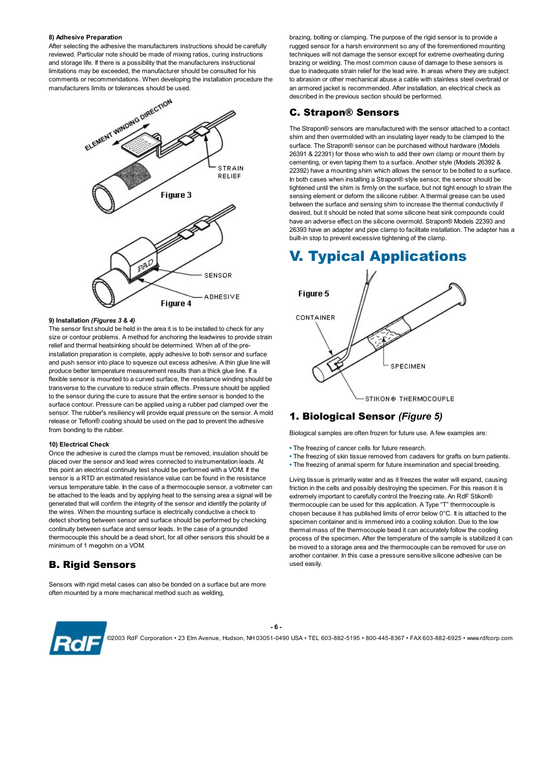### 8) Adhesive Preparation

After selecting the adhesive the manufacturers instructions should be carefully reviewed. Particular note should be made of mixing ratios, curing instructions and storage life. If there is a possibility that the manufacturers instructional limitations may be exceeded, the manufacturer should be consulted for his comments or recommendations. When developing the installation procedure the



### 9) Installation (Figures 3 & 4)

The sensor first should be held in the area it is to be installed to check for any size or contour problems. A method for anchoring the leadwires to provide strain relief and thermal heatsinking should be determined. When all of the preinstallation preparation is complete, apply adhesive to both sensor and surface and push sensor into place to squeeze out excess adhesive. A thin glue line will and push sensor into place to squeeze out excess adhesive. A thin give line will<br>produce better temperature measurement results than a thick glue line. If a flexible sensor is mounted to a curved surface, the resistance winding should be transverse to the curvature to reduce strain effects. Pressure should be applied to the sensor during the cure to assure that the entire sensor is bonded to the<br>
STIKON® THERMOCOUPLE surface contour. Pressure can be applied using a rubber pad clamped over the sensor. The rubber's resiliency will provide equal pressure on the sensor. A mold release or Teflon® coating should be used on the pad to prevent the adhesive from bonding to the rubber.

### 10) Electrical Check

Once the adhesive is cured the clamps must be removed, insulation should be placed over the sensor and lead wires connected to instrumentation leads. At this point an electrical continuity test should be performed with a VOM. If the sensor is a RTD an estimated resistance value can be found in the resistance versus temperature table. In the case of a thermocouple sensor, a voltmeter can be attached to the leads and by applying heat to the sensing area a signal will be generated that will confirm the integrity of the sensor and identify the polarity of the wires. When the mounting surface is electrically conductive a check to detect shorting between sensor and surface should be performed by checking continuity between surface and sensor leads. In the case of a grounded thermocouple this should be a dead short, for all other sensors this should be a minimum of 1 megohm on a VOM.

### B. Rigid Sensors

Sensors with rigid metal cases can also be bonded on a surface but are more often mounted by a more mechanical method such as welding,

brazing, bolting or clamping. The purpose of the rigid sensor is to provide a rugged sensor for a harsh environment so any of the forementioned mounting techniques will not damage the sensor except for extreme overheating during brazing or welding. The most common cause of damage to these sensors is due to inadequate strain relief for the lead wire. In areas where they are subject to abrasion or other mechanical abuse a cable with stainless steel overbraid or an armored jacket is recommended. After installation, an electrical check as described in the previous section should be performed.

### C. Strapon® Sensors

The Strapon® sensors are manufactured with the sensor attached to a contact shim and then overmolded with an insulating layer ready to be clamped to the surface. The Strapon® sensor can be purchased without hardware (Models 26391 & 22391) for those who wish to add their own clamp or mount them by cementing, or even taping them to a surface. Another style (Models 26392 & 22392) have a mounting shim which allows the sensor to be bolted to a surface. In both cases when installing a Strapon® style sensor, the sensor should be tightened until the shim is firmly on the surface, but not tight enough to strain the sensing element or deform the silicone rubber. A thermal grease can be used between the surface and sensing shim to increase the thermal conductivity if desired, but it should be noted that some silicone heat sink compounds could have an adverse effect on the silicone overmold. Strapon® Models 22393 and 26393 have an adapter and pipe clamp to facilitate installation. The adapter has a built-in stop to prevent excessive tightening of the clamp.

# V. Typical Applications



### 1. Biological Sensor (Figure 5)

Biological samples are often frozen for future use. A few examples are:

- The freezing of cancer cells for future research.
- The freezing of skin tissue removed from cadavers for grafts on burn patients.
- The freezing of animal sperm for future insemination and special breeding.

Living tissue is primarily water and as it freezes the water will expand, causing friction in the cells and possibly destroying the specimen. For this reason it is extremely important to carefully control the freezing rate. An RdF Stikon® thermocouple can be used for this application. A Type "T" thermocouple is chosen because it has published limits of error below 0°C. It is attached to the specimen container and is immersed into a cooling solution. Due to the low thermal mass of the thermocouple bead it can accurately follow the cooling process of the specimen. After the temperature of the sample is stabilized it can be moved to a storage area and the thermocouple can be removed for use on another container. In this case a pressure sensitive silicone adhesive can be used easily.

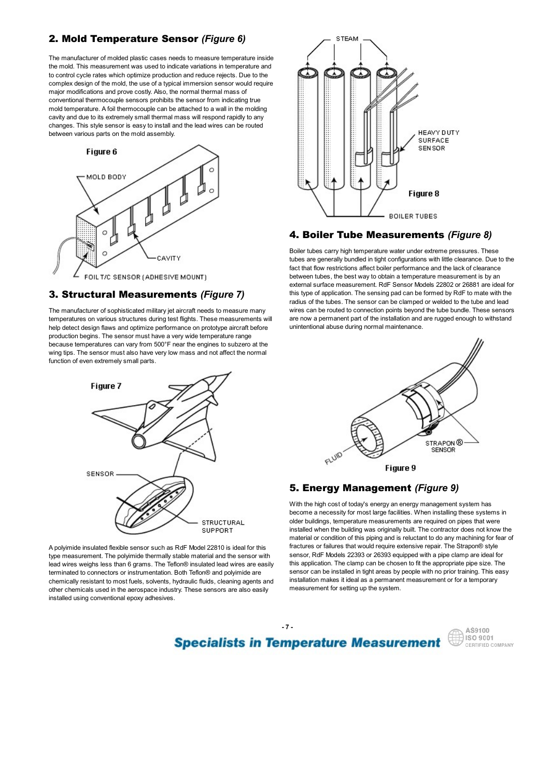## **2. Mold Temperature Sensor (Figure 6)**  $\qquad \qquad \qquad \qquad$  STEAM

The manufacturer of molded plastic cases needs to measure temperature inside the mold. This measurement was used to indicate variations in temperature and to control cycle rates which optimize production and reduce rejects. Due to the complex design of the mold, the use of a typical immersion sensor would require major modifications and prove costly. Also, the normal thermal mass of conventional thermocouple sensors prohibits the sensor from indicating true mold temperature. A foil thermocouple can be attached to a wall in the molding cavity and due to its extremely small thermal mass will respond rapidly to any changes. This style sensor is easy to install and the lead wires can be routed<br>between various parts on the mold assembly. between various parts on the mold assembly.



### 3. Structural Measurements (Figure 7)

The manufacturer of sophisticated military jet aircraft needs to measure many temperatures on various structures during test flights. These measurements will help detect design flaws and optimize performance on prototype aircraft before production begins. The sensor must have a very wide temperature range because temperatures can vary from 500°F near the engines to subzero at the wing tips. The sensor must also have very low mass and not affect the normal function of even extremely small parts.



A polyimide insulated flexible sensor such as RdF Model 22810 is ideal for this type measurement. The polyimide thermally stable material and the sensor with lead wires weighs less than 6 grams. The Teflon® insulated lead wires are easily terminated to connectors or instrumentation. Both Teflon® and polyimide are chemically resistant to most fuels, solvents, hydraulic fluids, cleaning agents and other chemicals used in the aerospace industry. These sensors are also easily installed using conventional epoxy adhesives.



### 4. Boiler Tube Measurements (Figure 8)

Boiler tubes carry high temperature water under extreme pressures. These tubes are generally bundled in tight configurations with little clearance. Due to the fact that flow restrictions affect boiler performance and the lack of clearance between tubes, the best way to obtain a temperature measurement is by an external surface measurement. RdF Sensor Models 22802 or 26881 are ideal for this type of application. The sensing pad can be formed by RdF to mate with the radius of the tubes. The sensor can be clamped or welded to the tube and lead wires can be routed to connection points beyond the tube bundle. These sensors are now a permanent part of the installation and are rugged enough to withstand unintentional abuse during normal maintenance.



### 5. Energy Management (Figure 9)

With the high cost of today's energy an energy management system has become a necessity for most large facilities. When installing these systems in older buildings, temperature measurements are required on pipes that were installed when the building was originally built. The contractor does not know the material or condition of this piping and is reluctant to do any machining for fear of fractures or failures that would require extensive repair. The Strapon® style sensor, RdF Models 22393 or 26393 equipped with a pipe clamp are ideal for this application. The clamp can be chosen to fit the appropriate pipe size. The sensor can be installed in tight areas by people with no prior training. This easy installation makes it ideal as a permanent measurement or for a temporary measurement for setting up the system.